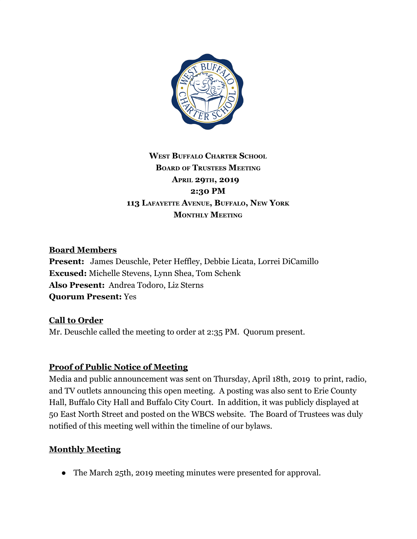

# **WEST BUFFALO CHARTER SCHOOL BOARD OF TRUSTEES MEETING APRIL 29TH, 2019 2:30 PM 113 LAFAYETTE AVENUE, BUFFALO, NEW YORK MONTHLY MEETING**

### **Board Members**

**Present:** James Deuschle, Peter Heffley, Debbie Licata, Lorrei DiCamillo **Excused:** Michelle Stevens, Lynn Shea, Tom Schenk **Also Present:** Andrea Todoro, Liz Sterns **Quorum Present:** Yes

### **Call to Order**

Mr. Deuschle called the meeting to order at 2:35 PM. Quorum present.

### **Proof of Public Notice of Meeting**

Media and public announcement was sent on Thursday, April 18th, 2019 to print, radio, and TV outlets announcing this open meeting. A posting was also sent to Erie County Hall, Buffalo City Hall and Buffalo City Court. In addition, it was publicly displayed at 50 East North Street and posted on the WBCS website. The Board of Trustees was duly notified of this meeting well within the timeline of our bylaws.

### **Monthly Meeting**

• The March 25th, 2019 meeting minutes were presented for approval.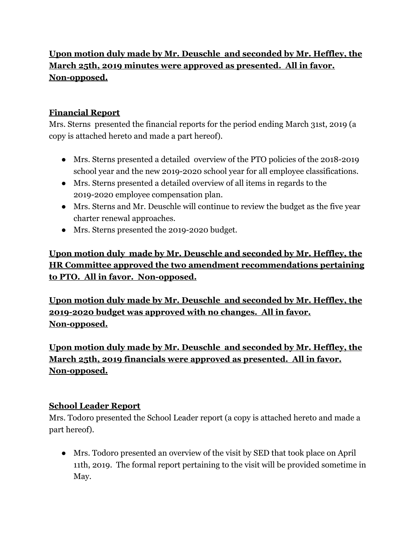# **Upon motion duly made by Mr. Deuschle and seconded by Mr. Heffley, the March 25th, 2019 minutes were approved as presented. All in favor. Non-opposed.**

## **Financial Report**

Mrs. Sterns presented the financial reports for the period ending March 31st, 2019 (a copy is attached hereto and made a part hereof).

- Mrs. Sterns presented a detailed overview of the PTO policies of the 2018-2019 school year and the new 2019-2020 school year for all employee classifications.
- Mrs. Sterns presented a detailed overview of all items in regards to the 2019-2020 employee compensation plan.
- Mrs. Sterns and Mr. Deuschle will continue to review the budget as the five year charter renewal approaches.
- Mrs. Sterns presented the 2019-2020 budget.

**Upon motion duly made by Mr. Deuschle and seconded by Mr. Heffley, the HR Committee approved the two amendment recommendations pertaining to PTO. All in favor. Non-opposed.**

**Upon motion duly made by Mr. Deuschle and seconded by Mr. Heffley, the 2019-2020 budget was approved with no changes. All in favor. Non-opposed.**

**Upon motion duly made by Mr. Deuschle and seconded by Mr. Heffley, the March 25th, 2019 financials were approved as presented. All in favor. Non-opposed.**

### **School Leader Report**

Mrs. Todoro presented the School Leader report (a copy is attached hereto and made a part hereof).

● Mrs. Todoro presented an overview of the visit by SED that took place on April 11th, 2019. The formal report pertaining to the visit will be provided sometime in May.